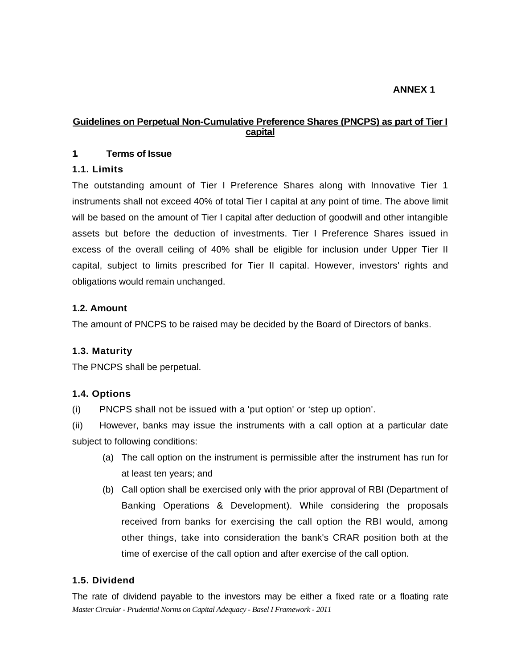## **Guidelines on Perpetual Non-Cumulative Preference Shares (PNCPS) as part of Tier I capital**

#### **1. Terms of Issue**

#### **1.1. Limits**

The outstanding amount of Tier I Preference Shares along with Innovative Tier 1 instruments shall not exceed 40% of total Tier I capital at any point of time. The above limit will be based on the amount of Tier I capital after deduction of goodwill and other intangible assets but before the deduction of investments. Tier I Preference Shares issued in excess of the overall ceiling of 40% shall be eligible for inclusion under Upper Tier II capital, subject to limits prescribed for Tier II capital. However, investors' rights and obligations would remain unchanged.

## **1.2. Amount**

The amount of PNCPS to be raised may be decided by the Board of Directors of banks.

# **1.3. Maturity**

The PNCPS shall be perpetual.

# **1.4. Options**

(i) PNCPS shall not be issued with a 'put option' or 'step up option'.

(ii) However, banks may issue the instruments with a call option at a particular date subject to following conditions:

- (a) The call option on the instrument is permissible after the instrument has run for at least ten years; and
- (b) Call option shall be exercised only with the prior approval of RBI (Department of Banking Operations & Development). While considering the proposals received from banks for exercising the call option the RBI would, among other things, take into consideration the bank's CRAR position both at the time of exercise of the call option and after exercise of the call option.

# **1.5. Dividend**

*Master Circular - Prudential Norms on Capital Adequacy - Basel I Framework - 2011* The rate of dividend payable to the investors may be either a fixed rate or a floating rate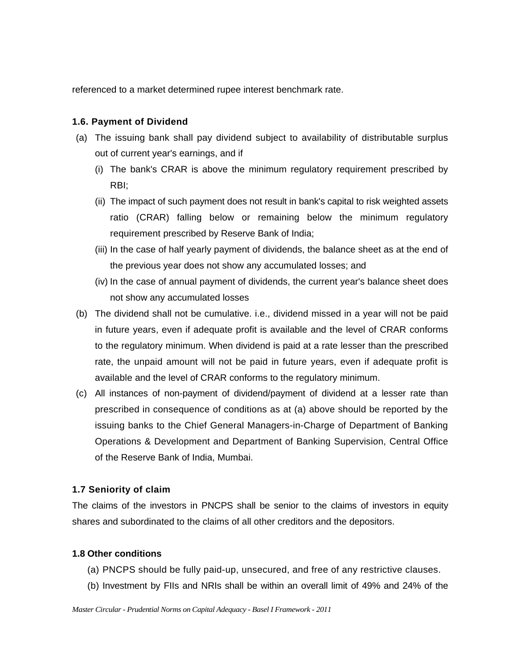referenced to a market determined rupee interest benchmark rate.

## **1.6. Payment of Dividend**

- (a) The issuing bank shall pay dividend subject to availability of distributable surplus out of current year's earnings, and if
	- (i) The bank's CRAR is above the minimum regulatory requirement prescribed by RBI;
	- (ii) The impact of such payment does not result in bank's capital to risk weighted assets ratio (CRAR) falling below or remaining below the minimum regulatory requirement prescribed by Reserve Bank of India;
	- (iii) In the case of half yearly payment of dividends, the balance sheet as at the end of the previous year does not show any accumulated losses; and
	- (iv) In the case of annual payment of dividends, the current year's balance sheet does not show any accumulated losses
- (b) The dividend shall not be cumulative. i.e., dividend missed in a year will not be paid in future years, even if adequate profit is available and the level of CRAR conforms to the regulatory minimum. When dividend is paid at a rate lesser than the prescribed rate, the unpaid amount will not be paid in future years, even if adequate profit is available and the level of CRAR conforms to the regulatory minimum.
- (c) All instances of non-payment of dividend/payment of dividend at a lesser rate than prescribed in consequence of conditions as at (a) above should be reported by the issuing banks to the Chief General Managers-in-Charge of Department of Banking Operations & Development and Department of Banking Supervision, Central Office of the Reserve Bank of India, Mumbai.

#### **1.7 Seniority of claim**

The claims of the investors in PNCPS shall be senior to the claims of investors in equity shares and subordinated to the claims of all other creditors and the depositors.

#### **1.8 Other conditions**

- (a) PNCPS should be fully paid-up, unsecured, and free of any restrictive clauses.
- (b) Investment by FIIs and NRIs shall be within an overall limit of 49% and 24% of the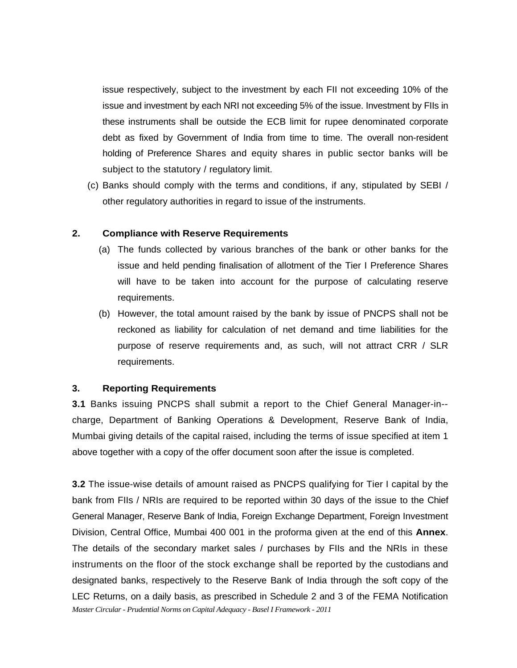issue respectively, subject to the investment by each FII not exceeding 10% of the issue and investment by each NRI not exceeding 5% of the issue. Investment by FIIs in these instruments shall be outside the ECB limit for rupee denominated corporate debt as fixed by Government of India from time to time. The overall non-resident holding of Preference Shares and equity shares in public sector banks will be subject to the statutory / regulatory limit.

(c) Banks should comply with the terms and conditions, if any, stipulated by SEBI / other regulatory authorities in regard to issue of the instruments.

#### **2. Compliance with Reserve Requirements**

- (a) The funds collected by various branches of the bank or other banks for the issue and held pending finalisation of allotment of the Tier I Preference Shares will have to be taken into account for the purpose of calculating reserve requirements.
- (b) However, the total amount raised by the bank by issue of PNCPS shall not be reckoned as liability for calculation of net demand and time liabilities for the purpose of reserve requirements and, as such, will not attract CRR / SLR requirements.

#### **3. Reporting Requirements**

**3.1** Banks issuing PNCPS shall submit a report to the Chief General Manager-in- charge, Department of Banking Operations & Development, Reserve Bank of India, Mumbai giving details of the capital raised, including the terms of issue specified at item 1 above together with a copy of the offer document soon after the issue is completed.

*Master Circular - Prudential Norms on Capital Adequacy - Basel I Framework - 2011* **3.2** The issue-wise details of amount raised as PNCPS qualifying for Tier I capital by the bank from FIIs / NRIs are required to be reported within 30 days of the issue to the Chief General Manager, Reserve Bank of India, Foreign Exchange Department, Foreign Investment Division, Central Office, Mumbai 400 001 in the proforma given at the end of this **Annex**. The details of the secondary market sales / purchases by FIIs and the NRIs in these instruments on the floor of the stock exchange shall be reported by the custodians and designated banks, respectively to the Reserve Bank of India through the soft copy of the LEC Returns, on a daily basis, as prescribed in Schedule 2 and 3 of the FEMA Notification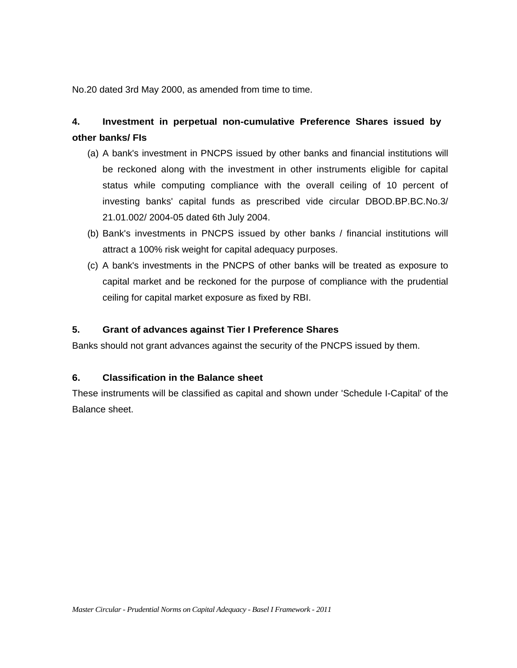No.20 dated 3rd May 2000, as amended from time to time.

# **4. Investment in perpetual non-cumulative Preference Shares issued by other banks/ FIs**

- (a) A bank's investment in PNCPS issued by other banks and financial institutions will be reckoned along with the investment in other instruments eligible for capital status while computing compliance with the overall ceiling of 10 percent of investing banks' capital funds as prescribed vide circular DBOD.BP.BC.No.3/ 21.01.002/ 2004-05 dated 6th July 2004.
- (b) Bank's investments in PNCPS issued by other banks / financial institutions will attract a 100% risk weight for capital adequacy purposes.
- (c) A bank's investments in the PNCPS of other banks will be treated as exposure to capital market and be reckoned for the purpose of compliance with the prudential ceiling for capital market exposure as fixed by RBI.

## **5. Grant of advances against Tier I Preference Shares**

Banks should not grant advances against the security of the PNCPS issued by them.

#### **6. Classification in the Balance sheet**

These instruments will be classified as capital and shown under 'Schedule I-Capital' of the Balance sheet.